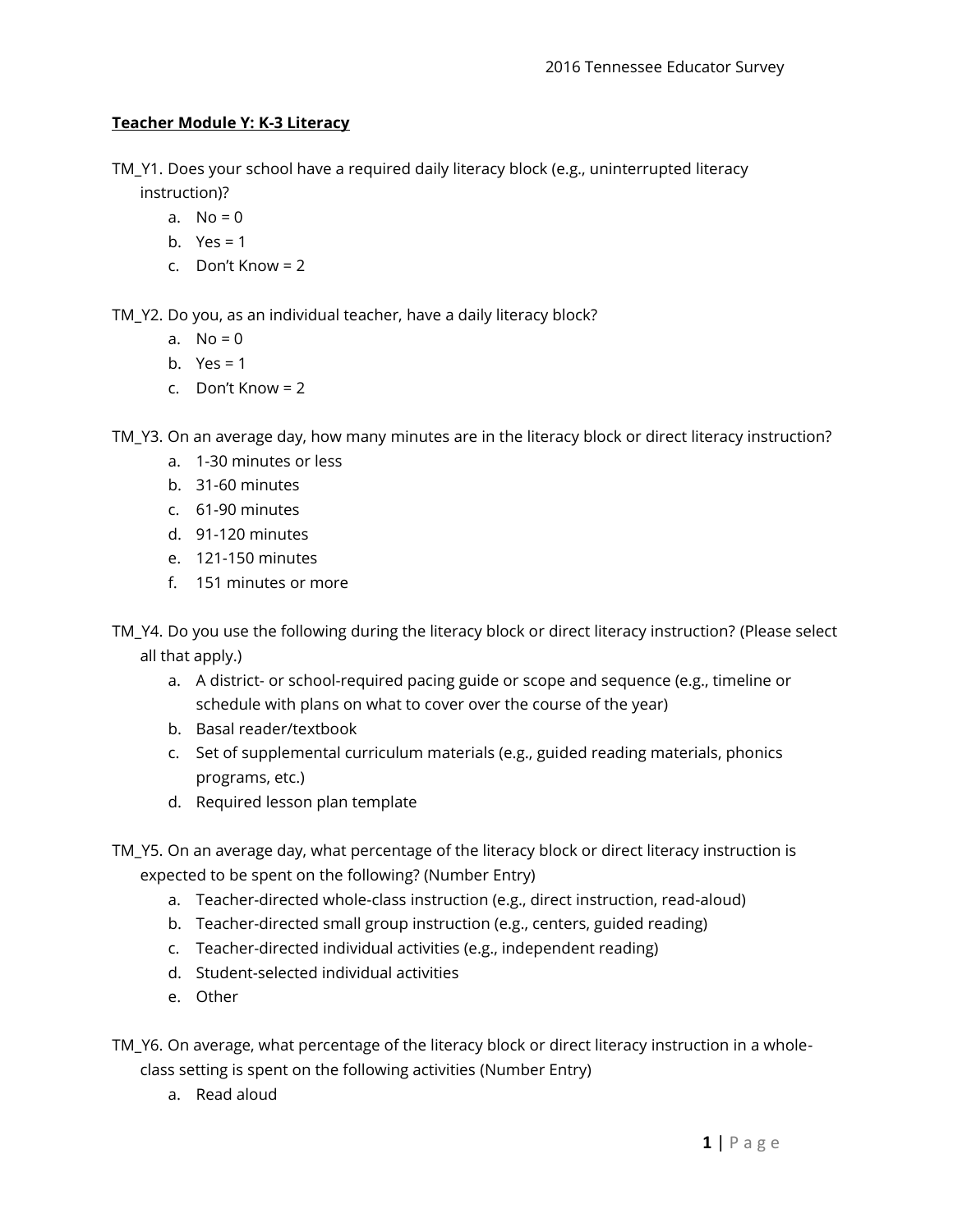## **Teacher Module Y: K-3 Literacy**

- TM\_Y1. Does your school have a required daily literacy block (e.g., uninterrupted literacy instruction)?
	- a.  $No = 0$
	- b. Yes =  $1$
	- c. Don't Know = 2

TM\_Y2. Do you, as an individual teacher, have a daily literacy block?

- a.  $No = 0$
- b.  $Yes = 1$
- c. Don't Know = 2

TM\_Y3. On an average day, how many minutes are in the literacy block or direct literacy instruction?

- a. 1-30 minutes or less
- b. 31-60 minutes
- c. 61-90 minutes
- d. 91-120 minutes
- e. 121-150 minutes
- f. 151 minutes or more

TM\_Y4. Do you use the following during the literacy block or direct literacy instruction? (Please select all that apply.)

- a. A district- or school-required pacing guide or scope and sequence (e.g., timeline or schedule with plans on what to cover over the course of the year)
- b. Basal reader/textbook
- c. Set of supplemental curriculum materials (e.g., guided reading materials, phonics programs, etc.)
- d. Required lesson plan template
- TM\_Y5. On an average day, what percentage of the literacy block or direct literacy instruction is expected to be spent on the following? (Number Entry)
	- a. Teacher-directed whole-class instruction (e.g., direct instruction, read-aloud)
	- b. Teacher-directed small group instruction (e.g., centers, guided reading)
	- c. Teacher-directed individual activities (e.g., independent reading)
	- d. Student-selected individual activities
	- e. Other
- TM\_Y6. On average, what percentage of the literacy block or direct literacy instruction in a wholeclass setting is spent on the following activities (Number Entry)
	- a. Read aloud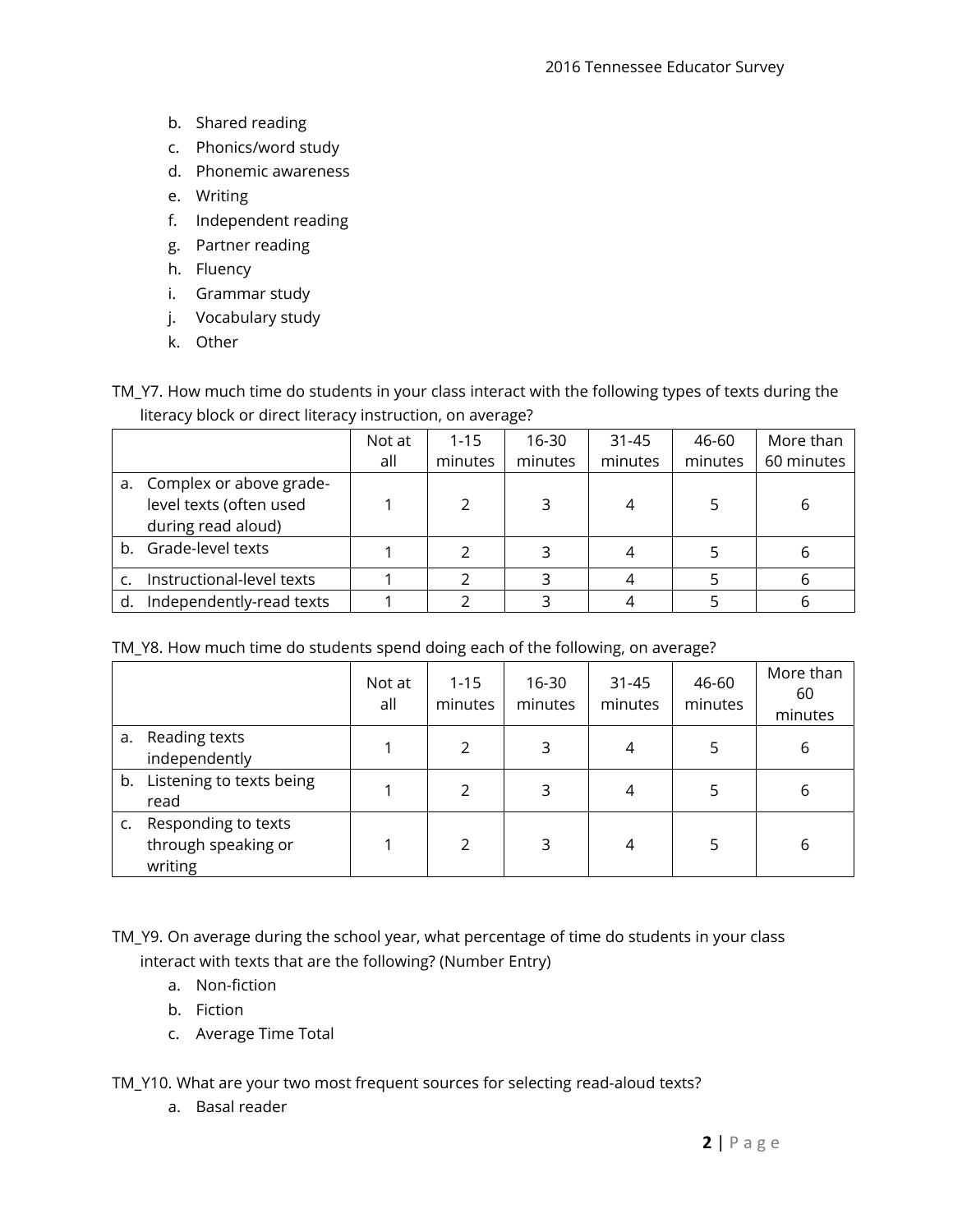- b. Shared reading
- c. Phonics/word study
- d. Phonemic awareness
- e. Writing
- f. Independent reading
- g. Partner reading
- h. Fluency
- i. Grammar study
- j. Vocabulary study
- k. Other

TM\_Y7. How much time do students in your class interact with the following types of texts during the literacy block or direct literacy instruction, on average?

|    |                                                                             | Not at | $1 - 15$ | 16-30   | $31 - 45$ | 46-60   | More than  |
|----|-----------------------------------------------------------------------------|--------|----------|---------|-----------|---------|------------|
|    |                                                                             | all    | minutes  | minutes | minutes   | minutes | 60 minutes |
|    | a. Complex or above grade-<br>level texts (often used<br>during read aloud) |        |          | 3       |           |         | 6          |
|    | b. Grade-level texts                                                        |        |          |         |           |         | b          |
|    | Instructional-level texts                                                   |        |          |         |           |         |            |
| d. | Independently-read texts                                                    |        |          |         |           |         |            |

TM\_Y8. How much time do students spend doing each of the following, on average?

|    |                                                       | Not at<br>all | $1 - 15$<br>minutes | 16-30<br>minutes | $31 - 45$<br>minutes | 46-60<br>minutes | More than<br>60<br>minutes |
|----|-------------------------------------------------------|---------------|---------------------|------------------|----------------------|------------------|----------------------------|
| a. | Reading texts<br>independently                        |               | 2                   | 3                | 4                    | 5                | 6                          |
|    | b. Listening to texts being<br>read                   |               | 2                   | 3                | 4                    | 5                | 6                          |
| c. | Responding to texts<br>through speaking or<br>writing |               | $\mathcal{P}$       | 3                | 4                    | 5                | 6                          |

TM\_Y9. On average during the school year, what percentage of time do students in your class interact with texts that are the following? (Number Entry)

- a. Non-fiction
- b. Fiction
- c. Average Time Total

TM\_Y10. What are your two most frequent sources for selecting read-aloud texts?

a. Basal reader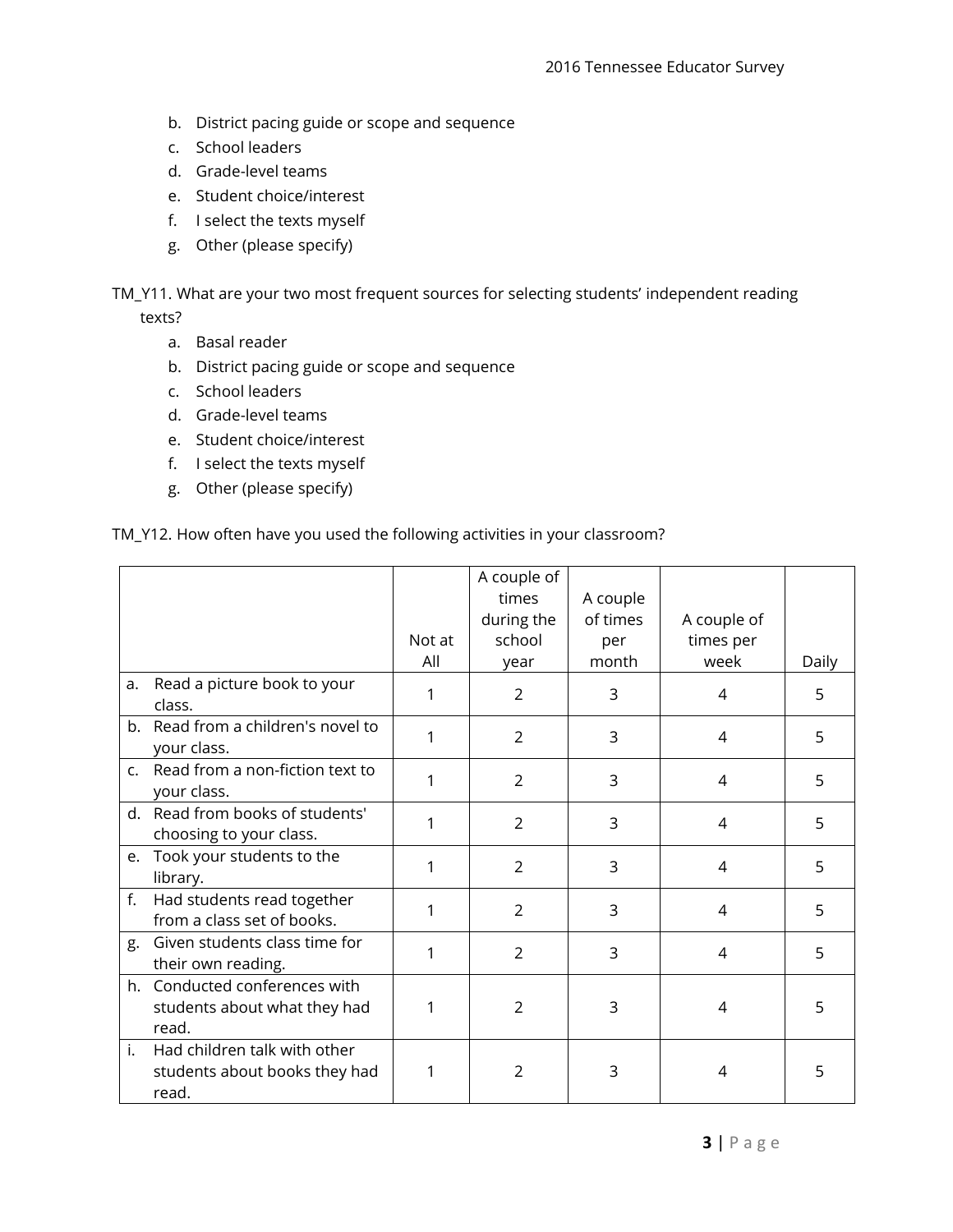- b. District pacing guide or scope and sequence
- c. School leaders
- d. Grade-level teams
- e. Student choice/interest
- f. I select the texts myself
- g. Other (please specify)

TM\_Y11. What are your two most frequent sources for selecting students' independent reading texts?

- a. Basal reader
- b. District pacing guide or scope and sequence
- c. School leaders
- d. Grade-level teams
- e. Student choice/interest
- f. I select the texts myself
- g. Other (please specify)

## TM\_Y12. How often have you used the following activities in your classroom?

|    |                                    |        | A couple of    |          |                |       |
|----|------------------------------------|--------|----------------|----------|----------------|-------|
|    |                                    |        | times          | A couple |                |       |
|    |                                    |        | during the     | of times | A couple of    |       |
|    |                                    | Not at | school         | per      | times per      |       |
|    |                                    | All    | year           | month    | week           | Daily |
| a. | Read a picture book to your        | 1      | 2              | 3        | 4              | 5     |
|    | class.                             |        |                |          |                |       |
|    | b. Read from a children's novel to | 1      | $\overline{2}$ | 3        | 4              | 5     |
|    | your class.                        |        |                |          |                |       |
|    | c. Read from a non-fiction text to | 1      | $\overline{2}$ | 3        | 4              | 5     |
|    | your class.                        |        |                |          |                |       |
|    | d. Read from books of students'    | 1      | 2              | 3        | $\overline{4}$ | 5     |
|    | choosing to your class.            |        |                |          |                |       |
| e. | Took your students to the          | 1      | 2              | 3        | $\overline{4}$ | 5     |
|    | library.                           |        |                |          |                |       |
| f. | Had students read together         | 1      | 2              | 3        | 4              | 5     |
|    | from a class set of books.         |        |                |          |                |       |
| g. | Given students class time for      | 1      | 2              | 3        | 4              | 5     |
|    | their own reading.                 |        |                |          |                |       |
|    | h. Conducted conferences with      |        |                |          |                |       |
|    | students about what they had       | 1      | 2              | 3        | 4              | 5     |
|    | read.                              |        |                |          |                |       |
| i. | Had children talk with other       |        |                |          |                |       |
|    | students about books they had      | 1      | 2              | 3        | 4              | 5     |
|    | read.                              |        |                |          |                |       |